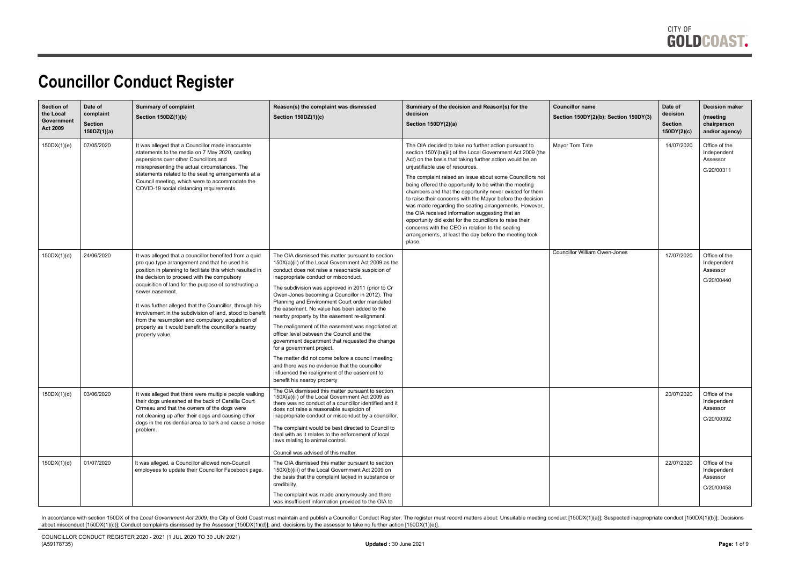

#### **Councillor Conduct Register**

| <b>Section of</b><br>the Local<br>Government<br><b>Act 2009</b> | Date of<br>complaint<br><b>Section</b><br>150DZ(1)(a) | <b>Summary of complaint</b><br>Section 150DZ(1)(b)                                                                                                                                                                                                                                                                                                                                                                                                                                                                                                     | Reason(s) the complaint was dismissed<br>Section 150DZ(1)(c)                                                                                                                                                                                                                                                                                                                                                                                                                                                                                                                                                                                                                                                                                                                                                                         | Summary of the decision and Reason(s) for the<br>decision<br>Section 150DY(2)(a)                                                                                                                                                                                                                                                                                                                                                                                                                                                                                                                                                                                                                                                                                   | <b>Councillor name</b><br>Section 150DY(2)(b); Section 150DY(3) | Date of<br>decision<br>Section<br>150DY(2)(c) | <b>Decision maker</b><br>(meeting<br>chairperson<br>and/or agency) |
|-----------------------------------------------------------------|-------------------------------------------------------|--------------------------------------------------------------------------------------------------------------------------------------------------------------------------------------------------------------------------------------------------------------------------------------------------------------------------------------------------------------------------------------------------------------------------------------------------------------------------------------------------------------------------------------------------------|--------------------------------------------------------------------------------------------------------------------------------------------------------------------------------------------------------------------------------------------------------------------------------------------------------------------------------------------------------------------------------------------------------------------------------------------------------------------------------------------------------------------------------------------------------------------------------------------------------------------------------------------------------------------------------------------------------------------------------------------------------------------------------------------------------------------------------------|--------------------------------------------------------------------------------------------------------------------------------------------------------------------------------------------------------------------------------------------------------------------------------------------------------------------------------------------------------------------------------------------------------------------------------------------------------------------------------------------------------------------------------------------------------------------------------------------------------------------------------------------------------------------------------------------------------------------------------------------------------------------|-----------------------------------------------------------------|-----------------------------------------------|--------------------------------------------------------------------|
| 150DX(1)(e)                                                     | 07/05/2020                                            | It was alleged that a Councillor made inaccurate<br>statements to the media on 7 May 2020, casting<br>aspersions over other Councillors and<br>misrepresenting the actual circumstances. The<br>statements related to the seating arrangements at a<br>Council meeting, which were to accommodate the<br>COVID-19 social distancing requirements.                                                                                                                                                                                                      |                                                                                                                                                                                                                                                                                                                                                                                                                                                                                                                                                                                                                                                                                                                                                                                                                                      | The OIA decided to take no further action pursuant to<br>section 150Y(b)(iii) of the Local Government Act 2009 (the<br>Act) on the basis that taking further action would be an<br>unjustifiable use of resources.<br>The complaint raised an issue about some Councillors not<br>being offered the opportunity to be within the meeting<br>chambers and that the opportunity never existed for them<br>to raise their concerns with the Mayor before the decision<br>was made regarding the seating arrangements. However,<br>the OIA received information suggesting that an<br>opportunity did exist for the councillors to raise their<br>concerns with the CEO in relation to the seating<br>arrangements, at least the day before the meeting took<br>place. | Mavor Tom Tate                                                  | 14/07/2020                                    | Office of the<br>Independent<br>Assessor<br>C/20/00311             |
| 150DX(1)(d)                                                     | 24/06/2020                                            | It was alleged that a councillor benefited from a quid<br>pro quo type arrangement and that he used his<br>position in planning to facilitate this which resulted in<br>the decision to proceed with the compulsory<br>acquisition of land for the purpose of constructing a<br>sewer easement.<br>It was further alleged that the Councillor, through his<br>involvement in the subdivision of land, stood to benefit<br>from the resumption and compulsory acquisition of<br>property as it would benefit the councillor's nearby<br>property value. | The OIA dismissed this matter pursuant to section<br>150X(a)(ii) of the Local Government Act 2009 as the<br>conduct does not raise a reasonable suspicion of<br>inappropriate conduct or misconduct.<br>The subdivision was approved in 2011 (prior to Cr<br>Owen-Jones becoming a Councillor in 2012). The<br>Planning and Environment Court order mandated<br>the easement. No value has been added to the<br>nearby property by the easement re-alignment.<br>The realignment of the easement was negotiated at<br>officer level between the Council and the<br>government department that requested the change<br>for a government project.<br>The matter did not come before a council meeting<br>and there was no evidence that the councillor<br>influenced the realignment of the easement to<br>benefit his nearby property |                                                                                                                                                                                                                                                                                                                                                                                                                                                                                                                                                                                                                                                                                                                                                                    | <b>Councillor William Owen-Jones</b>                            | 17/07/2020                                    | Office of the<br>Independent<br>Assessor<br>C/20/00440             |
| 150DX(1)(d)                                                     | 03/06/2020                                            | It was alleged that there were multiple people walking<br>their dogs unleashed at the back of Carallia Court<br>Ormeau and that the owners of the dogs were<br>not cleaning up after their dogs and causing other<br>dogs in the residential area to bark and cause a noise<br>problem.                                                                                                                                                                                                                                                                | The OIA dismissed this matter pursuant to section<br>150X(a)(ii) of the Local Government Act 2009 as<br>there was no conduct of a councillor identified and it<br>does not raise a reasonable suspicion of<br>inappropriate conduct or misconduct by a councillor.<br>The complaint would be best directed to Council to<br>deal with as it relates to the enforcement of local<br>laws relating to animal control.<br>Council was advised of this matter.                                                                                                                                                                                                                                                                                                                                                                           |                                                                                                                                                                                                                                                                                                                                                                                                                                                                                                                                                                                                                                                                                                                                                                    |                                                                 | 20/07/2020                                    | Office of the<br>Independent<br>Assessor<br>C/20/00392             |
| 150DX(1)(d)                                                     | 01/07/2020                                            | It was alleged, a Councillor allowed non-Council<br>employees to update their Councillor Facebook page.                                                                                                                                                                                                                                                                                                                                                                                                                                                | The OIA dismissed this matter pursuant to section<br>150X(b)(iii) of the Local Government Act 2009 on<br>the basis that the complaint lacked in substance or<br>credibility.<br>The complaint was made anonymously and there<br>was insufficient information provided to the OIA to                                                                                                                                                                                                                                                                                                                                                                                                                                                                                                                                                  |                                                                                                                                                                                                                                                                                                                                                                                                                                                                                                                                                                                                                                                                                                                                                                    |                                                                 | 22/07/2020                                    | Office of the<br>Independent<br>Assessor<br>C/20/00458             |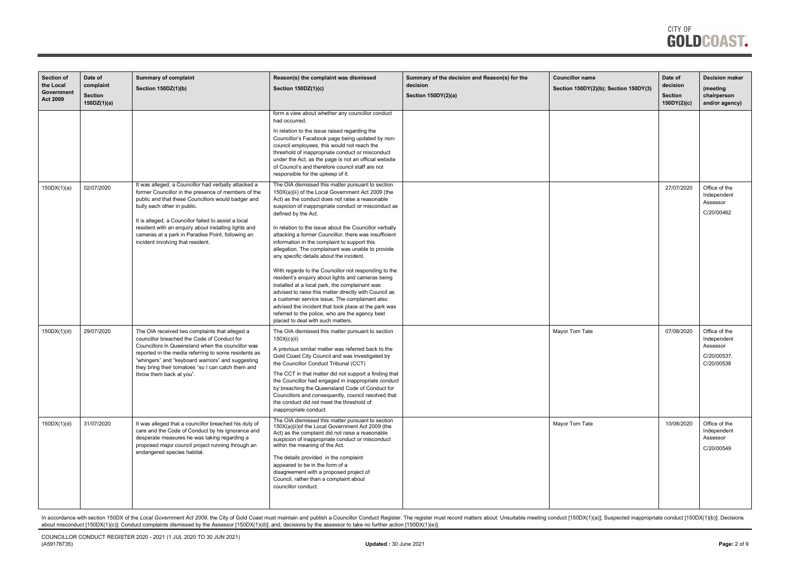

| <b>Section of</b><br>the Local<br>Government<br><b>Act 2009</b> | Date of<br>complaint<br><b>Section</b><br>150DZ(1)(a) | <b>Summary of complaint</b><br>Section 150DZ(1)(b)                                                                                                                                                                                                                                                                                                                                                         | Reason(s) the complaint was dismissed<br>Section 150DZ(1)(c)                                                                                                                                                                                                                                                                                                                                                                                                                                                                                                                                                                                                                                                                                                                                                                                                                                                                          | Summary of the decision and Reason(s) for the<br>decision<br>Section 150DY(2)(a) | <b>Councillor name</b><br>Section 150DY(2)(b); Section 150DY(3) | Date of<br>decision<br>Section<br>150DY(2)(c) | <b>Decision maker</b><br>(meeting<br>chairperson<br>and/or agency)    |
|-----------------------------------------------------------------|-------------------------------------------------------|------------------------------------------------------------------------------------------------------------------------------------------------------------------------------------------------------------------------------------------------------------------------------------------------------------------------------------------------------------------------------------------------------------|---------------------------------------------------------------------------------------------------------------------------------------------------------------------------------------------------------------------------------------------------------------------------------------------------------------------------------------------------------------------------------------------------------------------------------------------------------------------------------------------------------------------------------------------------------------------------------------------------------------------------------------------------------------------------------------------------------------------------------------------------------------------------------------------------------------------------------------------------------------------------------------------------------------------------------------|----------------------------------------------------------------------------------|-----------------------------------------------------------------|-----------------------------------------------|-----------------------------------------------------------------------|
|                                                                 |                                                       |                                                                                                                                                                                                                                                                                                                                                                                                            | form a view about whether any councillor conduct<br>had occurred.<br>In relation to the issue raised regarding the<br>Councillor's Facebook page being updated by non-<br>council employees, this would not reach the<br>threshold of inappropriate conduct or misconduct<br>under the Act, as the page is not an official website<br>of Council's and therefore council staff are not<br>responsible for the upkeep of it.                                                                                                                                                                                                                                                                                                                                                                                                                                                                                                           |                                                                                  |                                                                 |                                               |                                                                       |
| 150DX(1)(a)                                                     | 02/07/2020                                            | It was alleged, a Councillor had verbally attacked a<br>former Councillor in the presence of members of the<br>public and that these Councillors would badger and<br>bully each other in public.<br>It is alleged, a Councillor failed to assist a local<br>resident with an enquiry about installing lights and<br>cameras at a park in Paradise Point, following an<br>incident involving that resident. | The OIA dismissed this matter pursuant to section<br>150X(a)(ii) of the Local Government Act 2009 (the<br>Act) as the conduct does not raise a reasonable<br>suspicion of inappropriate conduct or misconduct as<br>defined by the Act.<br>In relation to the issue about the Councillor verbally<br>attacking a former Councillor, there was insufficient<br>information in the complaint to support this<br>allegation. The complainant was unable to provide<br>any specific details about the incident.<br>With regards to the Councillor not responding to the<br>resident's enquiry about lights and cameras being<br>installed at a local park, the complainant was<br>advised to raise this matter directly with Council as<br>a customer service issue. The complainant also<br>advised the incident that took place at the park was<br>referred to the police, who are the agency best<br>placed to deal with such matters. |                                                                                  |                                                                 | 27/07/2020                                    | Office of the<br>Independent<br>Assessor<br>C/20/00462                |
| 150DX(1)(d)                                                     | 29/07/2020                                            | The OIA received two complaints that alleged a<br>councillor breached the Code of Conduct for<br>Councillors in Queensland when the councillor was<br>reported in the media referring to some residents as<br>"whingers" and "keyboard warriors" and suggesting<br>they bring their tomatoes "so I can catch them and<br>throw them back at you".                                                          | The OIA dismissed this matter pursuant to section<br>150X(c)(ii)<br>A previous similar matter was referred back to the<br>Gold Coast City Council and was investigated by<br>the Councillor Conduct Tribunal (CCT)<br>The CCT in that matter did not support a finding that<br>the Councillor had engaged in inappropriate conduct<br>by breaching the Queensland Code of Conduct for<br>Councillors and consequently, council resolved that<br>the conduct did not meet the threshold of<br>inappropriate conduct.                                                                                                                                                                                                                                                                                                                                                                                                                   |                                                                                  | Mayor Tom Tate                                                  | 07/08/2020                                    | Office of the<br>Independent<br>Assessor<br>C/20/00537,<br>C/20/00538 |
| 150DX(1)(d)                                                     | 31/07/2020                                            | It was alleged that a councillor breached his duty of<br>care and the Code of Conduct by his ignorance and<br>desperate measures he was taking regarding a<br>proposed major council project running through an<br>endangered species habitat.                                                                                                                                                             | The OIA dismissed this matter pursuant to section<br>150X(a)(ii)of the Local Government Act 2009 (the<br>Act) as the complaint did not raise a reasonable<br>suspicion of inappropriate conduct or misconduct<br>within the meaning of the Act.<br>The details provided in the complaint<br>appeared to be in the form of a<br>disagreement with a proposed project of<br>Council, rather than a complaint about<br>councillor conduct.                                                                                                                                                                                                                                                                                                                                                                                                                                                                                               |                                                                                  | Mayor Tom Tate                                                  | 10/08/2020                                    | Office of the<br>Independent<br>Assessor<br>C/20/00549                |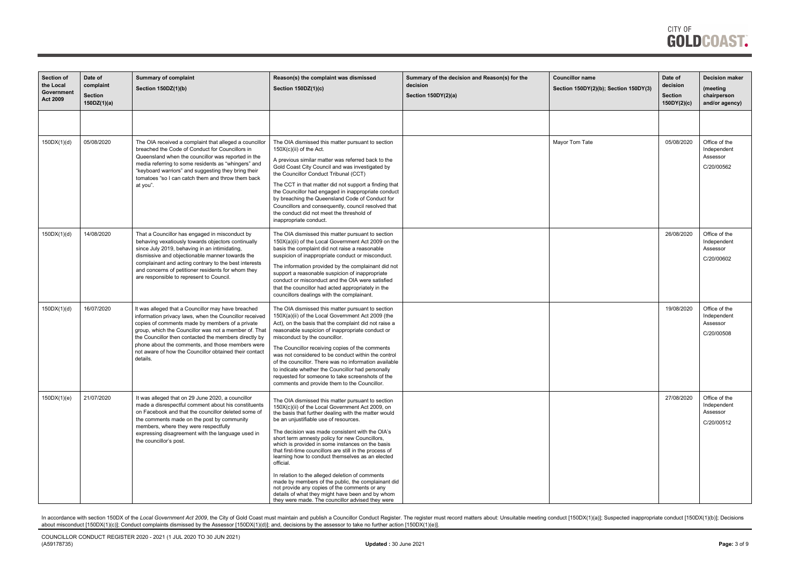| <b>Section of</b><br>the Local<br>Government<br><b>Act 2009</b> | Date of<br>complaint<br><b>Section</b><br>150DZ(1)(a) | <b>Summary of complaint</b><br>Section 150DZ(1)(b)                                                                                                                                                                                                                                                                                                                                                          | Reason(s) the complaint was dismissed<br>Section 150DZ(1)(c)                                                                                                                                                                                                                                                                                                                                                                                                                                                                                                                                                                                                                                                                                                  | Summary of the decision and Reason(s) for the<br>decision<br>Section 150DY(2)(a) | <b>Councillor name</b><br>Section 150DY(2)(b); Section 150DY(3) | Date of<br>decision<br><b>Section</b><br>150DY(2)(c) | <b>Decision maker</b><br>(meeting<br>chairperson<br>and/or agency) |
|-----------------------------------------------------------------|-------------------------------------------------------|-------------------------------------------------------------------------------------------------------------------------------------------------------------------------------------------------------------------------------------------------------------------------------------------------------------------------------------------------------------------------------------------------------------|---------------------------------------------------------------------------------------------------------------------------------------------------------------------------------------------------------------------------------------------------------------------------------------------------------------------------------------------------------------------------------------------------------------------------------------------------------------------------------------------------------------------------------------------------------------------------------------------------------------------------------------------------------------------------------------------------------------------------------------------------------------|----------------------------------------------------------------------------------|-----------------------------------------------------------------|------------------------------------------------------|--------------------------------------------------------------------|
|                                                                 |                                                       |                                                                                                                                                                                                                                                                                                                                                                                                             |                                                                                                                                                                                                                                                                                                                                                                                                                                                                                                                                                                                                                                                                                                                                                               |                                                                                  |                                                                 |                                                      |                                                                    |
| 150DX(1)(d)                                                     | 05/08/2020                                            | The OIA received a complaint that alleged a councillor<br>breached the Code of Conduct for Councillors in<br>Queensland when the councillor was reported in the<br>media referring to some residents as "whingers" and<br>"keyboard warriors" and suggesting they bring their<br>tomatoes "so I can catch them and throw them back<br>at you".                                                              | The OIA dismissed this matter pursuant to section<br>$150X(c)(ii)$ of the Act.<br>A previous similar matter was referred back to the<br>Gold Coast City Council and was investigated by<br>the Councillor Conduct Tribunal (CCT)<br>The CCT in that matter did not support a finding that<br>the Councillor had engaged in inappropriate conduct<br>by breaching the Queensland Code of Conduct for<br>Councillors and consequently, council resolved that<br>the conduct did not meet the threshold of<br>inappropriate conduct.                                                                                                                                                                                                                             |                                                                                  | Mayor Tom Tate                                                  | 05/08/2020                                           | Office of the<br>Independent<br>Assessor<br>C/20/00562             |
| 150DX(1)(d)                                                     | 14/08/2020                                            | That a Councillor has engaged in misconduct by<br>behaving vexatiously towards objectors continually<br>since July 2019, behaving in an intimidating,<br>dismissive and objectionable manner towards the<br>complainant and acting contrary to the best interests<br>and concerns of petitioner residents for whom they<br>are responsible to represent to Council.                                         | The OIA dismissed this matter pursuant to section<br>150X(a)(ii) of the Local Government Act 2009 on the<br>basis the complaint did not raise a reasonable<br>suspicion of inappropriate conduct or misconduct.<br>The information provided by the complainant did not<br>support a reasonable suspicion of inappropriate<br>conduct or misconduct and the OIA were satisfied<br>that the councillor had acted appropriately in the<br>councillors dealings with the complainant.                                                                                                                                                                                                                                                                             |                                                                                  |                                                                 | 26/08/2020                                           | Office of the<br>Independent<br>Assessor<br>C/20/00602             |
| 150DX(1)(d)                                                     | 16/07/2020                                            | It was alleged that a Councillor may have breached<br>information privacy laws, when the Councillor received<br>copies of comments made by members of a private<br>group, which the Councillor was not a member of. That<br>the Councillor then contacted the members directly by<br>phone about the comments, and those members were<br>not aware of how the Councillor obtained their contact<br>details. | The OIA dismissed this matter pursuant to section<br>150X(a)(ii) of the Local Government Act 2009 (the<br>Act), on the basis that the complaint did not raise a<br>reasonable suspicion of inappropriate conduct or<br>misconduct by the councillor.<br>The Councillor receiving copies of the comments<br>was not considered to be conduct within the control<br>of the councillor. There was no information available<br>to indicate whether the Councillor had personally<br>requested for someone to take screenshots of the<br>comments and provide them to the Councillor.                                                                                                                                                                              |                                                                                  |                                                                 | 19/08/2020                                           | Office of the<br>Independent<br>Assessor<br>C/20/00508             |
| 150DX(1)(e)                                                     | 21/07/2020                                            | It was alleged that on 29 June 2020, a councillor<br>made a disrespectful comment about his constituents<br>on Facebook and that the councillor deleted some of<br>the comments made on the post by community<br>members, where they were respectfully<br>expressing disagreement with the language used in<br>the councillor's post.                                                                       | The OIA dismissed this matter pursuant to section<br>150X(c)(ii) of the Local Government Act 2009, on<br>the basis that further dealing with the matter would<br>be an unjustifiable use of resources.<br>The decision was made consistent with the OIA's<br>short term amnesty policy for new Councillors,<br>which is provided in some instances on the basis<br>that first-time councillors are still in the process of<br>learning how to conduct themselves as an elected<br>official.<br>In relation to the alleged deletion of comments<br>made by members of the public, the complainant did<br>not provide any copies of the comments or any<br>details of what they might have been and by whom<br>they were made. The councillor advised they were |                                                                                  |                                                                 | 27/08/2020                                           | Office of the<br>Independent<br>Assessor<br>C/20/00512             |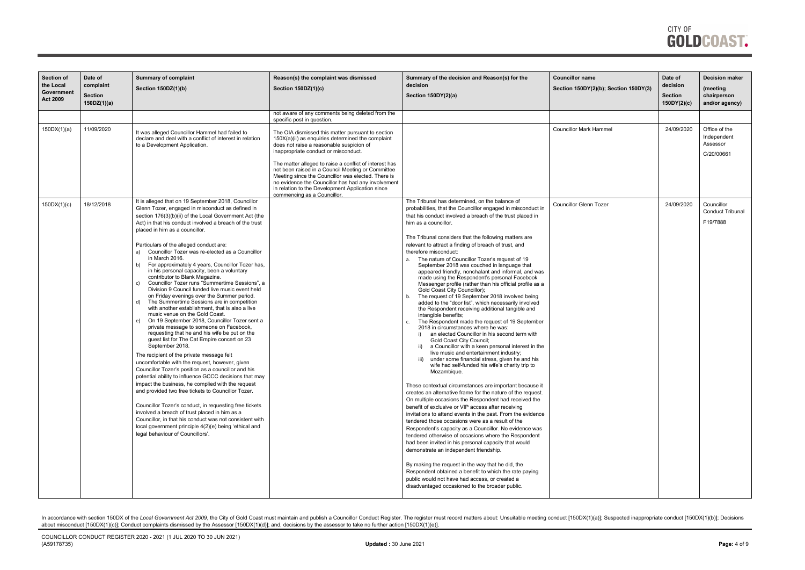| <b>Section of</b> | Date of        | <b>Summary of complaint</b>                                                                                | Reason(s) the complaint was dismissed                                                                  | Summary of the decision and Reason(s) for the                                                                            | <b>Councillor name</b>                | Date of        | <b>Decision maker</b>   |
|-------------------|----------------|------------------------------------------------------------------------------------------------------------|--------------------------------------------------------------------------------------------------------|--------------------------------------------------------------------------------------------------------------------------|---------------------------------------|----------------|-------------------------|
| the Local         | complaint      | Section 150DZ(1)(b)                                                                                        | Section 150DZ(1)(c)                                                                                    | decision                                                                                                                 | Section 150DY(2)(b); Section 150DY(3) | decision       | (meeting                |
| Government        | <b>Section</b> |                                                                                                            |                                                                                                        | Section 150DY(2)(a)                                                                                                      |                                       | <b>Section</b> | chairperson             |
| <b>Act 2009</b>   | 150DZ(1)(a)    |                                                                                                            |                                                                                                        |                                                                                                                          |                                       | 150DY(2)(c)    | and/or agency)          |
|                   |                |                                                                                                            | not aware of any comments being deleted from the                                                       |                                                                                                                          |                                       |                |                         |
|                   |                |                                                                                                            | specific post in question.                                                                             |                                                                                                                          |                                       |                |                         |
| 150DX(1)(a)       | 11/09/2020     | It was alleged Councillor Hammel had failed to                                                             | The OIA dismissed this matter pursuant to section                                                      |                                                                                                                          | <b>Councillor Mark Hammel</b>         | 24/09/2020     | Office of the           |
|                   |                | declare and deal with a conflict of interest in relation                                                   | 150X(a)(ii) as enquiries determined the complaint                                                      |                                                                                                                          |                                       |                | Independent<br>Assessor |
|                   |                | to a Development Application.                                                                              | does not raise a reasonable suspicion of<br>inappropriate conduct or misconduct.                       |                                                                                                                          |                                       |                | C/20/00661              |
|                   |                |                                                                                                            | The matter alleged to raise a conflict of interest has                                                 |                                                                                                                          |                                       |                |                         |
|                   |                |                                                                                                            | not been raised in a Council Meeting or Committee                                                      |                                                                                                                          |                                       |                |                         |
|                   |                |                                                                                                            | Meeting since the Councillor was elected. There is                                                     |                                                                                                                          |                                       |                |                         |
|                   |                |                                                                                                            | no evidence the Councillor has had any involvement<br>in relation to the Development Application since |                                                                                                                          |                                       |                |                         |
|                   |                |                                                                                                            | commencing as a Councillor.                                                                            |                                                                                                                          |                                       |                |                         |
| 150DX(1)(c)       | 18/12/2018     | It is alleged that on 19 September 2018, Councillor                                                        |                                                                                                        | The Tribunal has determined, on the balance of                                                                           | <b>Councillor Glenn Tozer</b>         | 24/09/2020     | Councillor              |
|                   |                | Glenn Tozer, engaged in misconduct as defined in<br>section 176(3)(b)(ii) of the Local Government Act (the |                                                                                                        | probabilities, that the Councillor engaged in misconduct in<br>that his conduct involved a breach of the trust placed in |                                       |                | <b>Conduct Tribunal</b> |
|                   |                | Act) in that his conduct involved a breach of the trust                                                    |                                                                                                        | him as a councillor.                                                                                                     |                                       |                | F19/7888                |
|                   |                | placed in him as a councillor.                                                                             |                                                                                                        |                                                                                                                          |                                       |                |                         |
|                   |                |                                                                                                            |                                                                                                        | The Tribunal considers that the following matters are                                                                    |                                       |                |                         |
|                   |                | Particulars of the alleged conduct are:                                                                    |                                                                                                        | relevant to attract a finding of breach of trust, and                                                                    |                                       |                |                         |
|                   |                | Councillor Tozer was re-elected as a Councillor<br>a)<br>in March 2016.                                    |                                                                                                        | therefore misconduct:<br>The nature of Councillor Tozer's request of 19<br>a.                                            |                                       |                |                         |
|                   |                | For approximately 4 years, Councillor Tozer has,<br>b)                                                     |                                                                                                        | September 2018 was couched in language that                                                                              |                                       |                |                         |
|                   |                | in his personal capacity, been a voluntary                                                                 |                                                                                                        | appeared friendly, nonchalant and informal, and was                                                                      |                                       |                |                         |
|                   |                | contributor to Blank Magazine.<br>Councillor Tozer runs "Summertime Sessions", a                           |                                                                                                        | made using the Respondent's personal Facebook<br>Messenger profile (rather than his official profile as a                |                                       |                |                         |
|                   |                | Division 9 Council funded live music event held                                                            |                                                                                                        | Gold Coast City Councillor);                                                                                             |                                       |                |                         |
|                   |                | on Friday evenings over the Summer period.                                                                 |                                                                                                        | The request of 19 September 2018 involved being<br>b.                                                                    |                                       |                |                         |
|                   |                | The Summertime Sessions are in competition<br>d)<br>with another establishment, that is also a live        |                                                                                                        | added to the "door list", which necessarily involved<br>the Respondent receiving additional tangible and                 |                                       |                |                         |
|                   |                | music venue on the Gold Coast.                                                                             |                                                                                                        | intangible benefits;                                                                                                     |                                       |                |                         |
|                   |                | On 19 September 2018, Councillor Tozer sent a<br>e)<br>private message to someone on Facebook,             |                                                                                                        | The Respondent made the request of 19 September<br>c.<br>2018 in circumstances where he was:                             |                                       |                |                         |
|                   |                | requesting that he and his wife be put on the                                                              |                                                                                                        | an elected Councillor in his second term with                                                                            |                                       |                |                         |
|                   |                | guest list for The Cat Empire concert on 23                                                                |                                                                                                        | Gold Coast City Council;                                                                                                 |                                       |                |                         |
|                   |                | September 2018.                                                                                            |                                                                                                        | a Councillor with a keen personal interest in the<br>live music and entertainment industry;                              |                                       |                |                         |
|                   |                | The recipient of the private message felt                                                                  |                                                                                                        | under some financial stress, given he and his                                                                            |                                       |                |                         |
|                   |                | uncomfortable with the request, however, given<br>Councillor Tozer's position as a councillor and his      |                                                                                                        | wife had self-funded his wife's charity trip to                                                                          |                                       |                |                         |
|                   |                | potential ability to influence GCCC decisions that may                                                     |                                                                                                        | Mozambique.                                                                                                              |                                       |                |                         |
|                   |                | impact the business, he complied with the request                                                          |                                                                                                        | These contextual circumstances are important because it                                                                  |                                       |                |                         |
|                   |                | and provided two free tickets to Councillor Tozer.                                                         |                                                                                                        | creates an alternative frame for the nature of the request.                                                              |                                       |                |                         |
|                   |                | Councillor Tozer's conduct, in requesting free tickets                                                     |                                                                                                        | On multiple occasions the Respondent had received the                                                                    |                                       |                |                         |
|                   |                | involved a breach of trust placed in him as a                                                              |                                                                                                        | benefit of exclusive or VIP access after receiving                                                                       |                                       |                |                         |
|                   |                | Councillor, in that his conduct was not consistent with                                                    |                                                                                                        | invitations to attend events in the past. From the evidence<br>tendered those occasions were as a result of the          |                                       |                |                         |
|                   |                | local government principle 4(2)(e) being 'ethical and                                                      |                                                                                                        | Respondent's capacity as a Councillor. No evidence was                                                                   |                                       |                |                         |
|                   |                | legal behaviour of Councillors'.                                                                           |                                                                                                        | tendered otherwise of occasions where the Respondent                                                                     |                                       |                |                         |
|                   |                |                                                                                                            |                                                                                                        | had been invited in his personal capacity that would                                                                     |                                       |                |                         |
|                   |                |                                                                                                            |                                                                                                        | demonstrate an independent friendship.                                                                                   |                                       |                |                         |
|                   |                |                                                                                                            |                                                                                                        | By making the request in the way that he did, the                                                                        |                                       |                |                         |
|                   |                |                                                                                                            |                                                                                                        | Respondent obtained a benefit to which the rate paying                                                                   |                                       |                |                         |
|                   |                |                                                                                                            |                                                                                                        | public would not have had access, or created a                                                                           |                                       |                |                         |
|                   |                |                                                                                                            |                                                                                                        | disadvantaged occasioned to the broader public.                                                                          |                                       |                |                         |
|                   |                |                                                                                                            |                                                                                                        |                                                                                                                          |                                       |                |                         |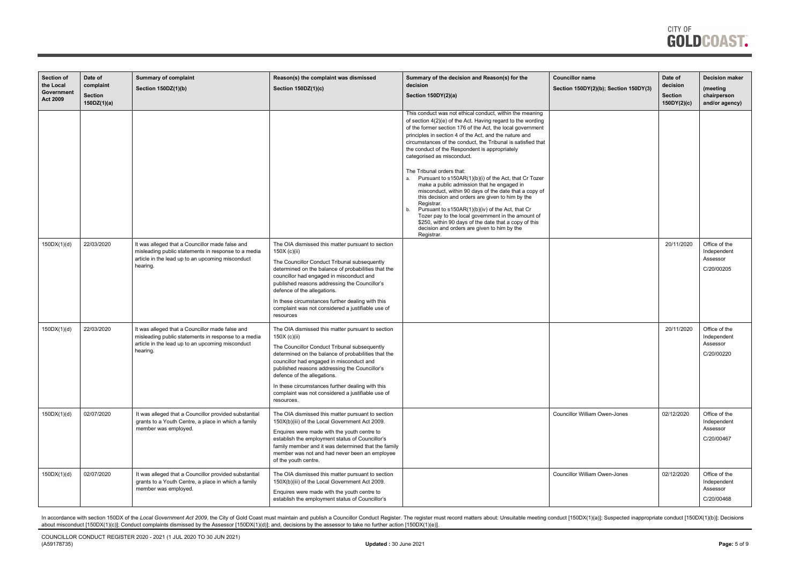

| <b>Section of</b><br>the Local | Date of<br>complaint          | <b>Summary of complaint</b><br>Section 150DZ(1)(b)                                                                                                                     | Reason(s) the complaint was dismissed<br>Section 150DZ(1)(c)                                                                                                                                                                                                                                                                                                                                                                | Summary of the decision and Reason(s) for the<br>decision                                                                                                                                                                                                                                                                                                                                                                                                                                                                                                                                                                                                                                                                                                                                                                                                                                                           | <b>Councillor name</b><br>Section 150DY(2)(b); Section 150DY(3) | Date of<br>decision           | <b>Decision maker</b><br>(meeting                      |
|--------------------------------|-------------------------------|------------------------------------------------------------------------------------------------------------------------------------------------------------------------|-----------------------------------------------------------------------------------------------------------------------------------------------------------------------------------------------------------------------------------------------------------------------------------------------------------------------------------------------------------------------------------------------------------------------------|---------------------------------------------------------------------------------------------------------------------------------------------------------------------------------------------------------------------------------------------------------------------------------------------------------------------------------------------------------------------------------------------------------------------------------------------------------------------------------------------------------------------------------------------------------------------------------------------------------------------------------------------------------------------------------------------------------------------------------------------------------------------------------------------------------------------------------------------------------------------------------------------------------------------|-----------------------------------------------------------------|-------------------------------|--------------------------------------------------------|
| Government<br><b>Act 2009</b>  | <b>Section</b><br>150DZ(1)(a) |                                                                                                                                                                        |                                                                                                                                                                                                                                                                                                                                                                                                                             | Section 150DY(2)(a)                                                                                                                                                                                                                                                                                                                                                                                                                                                                                                                                                                                                                                                                                                                                                                                                                                                                                                 |                                                                 | <b>Section</b><br>150DY(2)(c) | chairperson<br>and/or agency)                          |
|                                |                               |                                                                                                                                                                        |                                                                                                                                                                                                                                                                                                                                                                                                                             | This conduct was not ethical conduct, within the meaning<br>of section 4(2)(e) of the Act. Having regard to the wording<br>of the former section 176 of the Act, the local government<br>principles in section 4 of the Act, and the nature and<br>circumstances of the conduct, the Tribunal is satisfied that<br>the conduct of the Respondent is appropriately<br>categorised as misconduct.<br>The Tribunal orders that:<br>Pursuant to s150AR(1)(b)(i) of the Act, that Cr Tozer<br>$\mathbf{a}$<br>make a public admission that he engaged in<br>misconduct, within 90 days of the date that a copy of<br>this decision and orders are given to him by the<br>Registrar.<br>Pursuant to s150AR(1)(b)(iv) of the Act, that Cr<br>b<br>Tozer pay to the local government in the amount of<br>\$250, within 90 days of the date that a copy of this<br>decision and orders are given to him by the<br>Registrar. |                                                                 |                               |                                                        |
| 150DX(1)(d)                    | 22/03/2020                    | It was alleged that a Councillor made false and<br>misleading public statements in response to a media<br>article in the lead up to an upcoming misconduct<br>hearing. | The OIA dismissed this matter pursuant to section<br>150X (c)(ii)<br>The Councillor Conduct Tribunal subsequently<br>determined on the balance of probabilities that the<br>councillor had engaged in misconduct and<br>published reasons addressing the Councillor's<br>defence of the allegations.<br>In these circumstances further dealing with this<br>complaint was not considered a justifiable use of<br>resources  |                                                                                                                                                                                                                                                                                                                                                                                                                                                                                                                                                                                                                                                                                                                                                                                                                                                                                                                     |                                                                 | 20/11/2020                    | Office of the<br>Independent<br>Assessor<br>C/20/00205 |
| 150DX(1)(d)                    | 22/03/2020                    | It was alleged that a Councillor made false and<br>misleading public statements in response to a media<br>article in the lead up to an upcoming misconduct<br>hearing. | The OIA dismissed this matter pursuant to section<br>150X (c)(ii)<br>The Councillor Conduct Tribunal subsequently<br>determined on the balance of probabilities that the<br>councillor had engaged in misconduct and<br>published reasons addressing the Councillor's<br>defence of the allegations.<br>In these circumstances further dealing with this<br>complaint was not considered a justifiable use of<br>resources. |                                                                                                                                                                                                                                                                                                                                                                                                                                                                                                                                                                                                                                                                                                                                                                                                                                                                                                                     |                                                                 | 20/11/2020                    | Office of the<br>Independent<br>Assessor<br>C/20/00220 |
| 150DX(1)(d)                    | 02/07/2020                    | It was alleged that a Councillor provided substantial<br>grants to a Youth Centre, a place in which a family<br>member was employed.                                   | The OIA dismissed this matter pursuant to section<br>150X(b)(iii) of the Local Government Act 2009.<br>Enquires were made with the youth centre to<br>establish the employment status of Councillor's<br>family member and it was determined that the family<br>member was not and had never been an employee<br>of the youth centre.                                                                                       |                                                                                                                                                                                                                                                                                                                                                                                                                                                                                                                                                                                                                                                                                                                                                                                                                                                                                                                     | <b>Councillor William Owen-Jones</b>                            | 02/12/2020                    | Office of the<br>Independent<br>Assessor<br>C/20/00467 |
| 150DX(1)(d)                    | 02/07/2020                    | It was alleged that a Councillor provided substantial<br>grants to a Youth Centre, a place in which a family<br>member was employed.                                   | The OIA dismissed this matter pursuant to section<br>150X(b)(iii) of the Local Government Act 2009.<br>Enquires were made with the youth centre to<br>establish the employment status of Councillor's                                                                                                                                                                                                                       |                                                                                                                                                                                                                                                                                                                                                                                                                                                                                                                                                                                                                                                                                                                                                                                                                                                                                                                     | <b>Councillor William Owen-Jones</b>                            | 02/12/2020                    | Office of the<br>Independent<br>Assessor<br>C/20/00468 |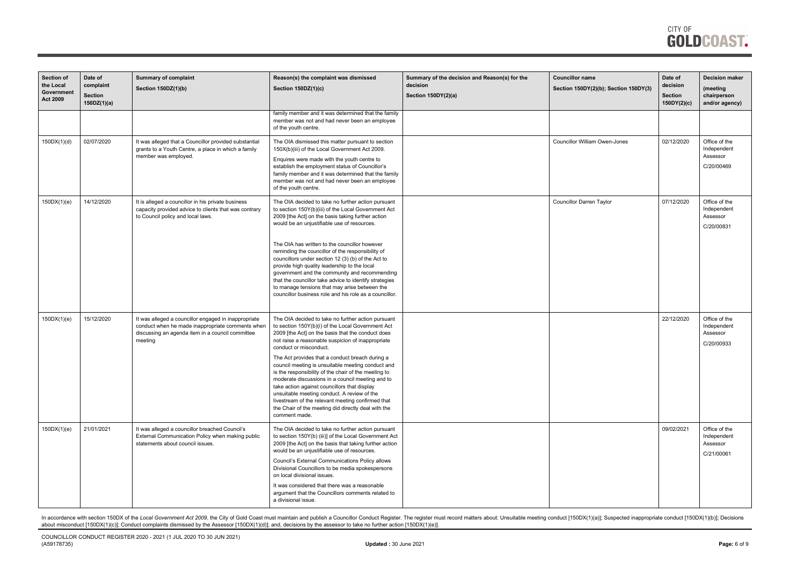| <b>Section of</b><br>the Local<br>Government<br><b>Act 2009</b> | Date of<br>complaint<br><b>Section</b><br>150DZ(1)(a) | <b>Summary of complaint</b><br>Section 150DZ(1)(b)                                                                                                                      | Reason(s) the complaint was dismissed<br>Section 150DZ(1)(c)                                                                                                                                                                                                                                                                                                                                                                                                                                                                                                                                                                                                                                | Summary of the decision and Reason(s) for the<br>decision<br>Section 150DY(2)(a) | <b>Councillor name</b><br>Section 150DY(2)(b); Section 150DY(3) | Date of<br>decision<br><b>Section</b><br>150DY(2)(c) | <b>Decision maker</b><br>(meeting<br>chairperson<br>and/or agency) |
|-----------------------------------------------------------------|-------------------------------------------------------|-------------------------------------------------------------------------------------------------------------------------------------------------------------------------|---------------------------------------------------------------------------------------------------------------------------------------------------------------------------------------------------------------------------------------------------------------------------------------------------------------------------------------------------------------------------------------------------------------------------------------------------------------------------------------------------------------------------------------------------------------------------------------------------------------------------------------------------------------------------------------------|----------------------------------------------------------------------------------|-----------------------------------------------------------------|------------------------------------------------------|--------------------------------------------------------------------|
|                                                                 |                                                       |                                                                                                                                                                         | family member and it was determined that the family<br>member was not and had never been an employee<br>of the youth centre.                                                                                                                                                                                                                                                                                                                                                                                                                                                                                                                                                                |                                                                                  |                                                                 |                                                      |                                                                    |
| 150DX(1)(d)                                                     | 02/07/2020                                            | It was alleged that a Councillor provided substantial<br>grants to a Youth Centre, a place in which a family<br>member was employed.                                    | The OIA dismissed this matter pursuant to section<br>150X(b)(iii) of the Local Government Act 2009.<br>Enquires were made with the youth centre to<br>establish the employment status of Councillor's<br>family member and it was determined that the family<br>member was not and had never been an employee<br>of the youth centre.                                                                                                                                                                                                                                                                                                                                                       |                                                                                  | <b>Councillor William Owen-Jones</b>                            | 02/12/2020                                           | Office of the<br>Independent<br>Assessor<br>C/20/00469             |
| 150DX(1)(e)                                                     | 14/12/2020                                            | It is alleged a councillor in his private business<br>capacity provided advice to clients that was contrary<br>to Council policy and local laws.                        | The OIA decided to take no further action pursuant<br>to section 150Y(b)(iii) of the Local Government Act<br>2009 [the Act] on the basis taking further action<br>would be an unjustifiable use of resources.<br>The OIA has written to the councillor however<br>reminding the councillor of the responsibility of<br>councillors under section 12 (3) (b) of the Act to<br>provide high quality leadership to the local<br>government and the community and recommending<br>that the councillor take advice to identify strategies<br>to manage tensions that may arise between the<br>councillor business role and his role as a councillor.                                             |                                                                                  | <b>Councillor Darren Taylor</b>                                 | 07/12/2020                                           | Office of the<br>Independent<br>Assessor<br>C/20/00831             |
| 150DX(1)(e)                                                     | 15/12/2020                                            | It was alleged a councillor engaged in inappropriate<br>conduct when he made inappropriate comments when<br>discussing an agenda item in a council committee<br>meeting | The OIA decided to take no further action pursuant<br>to section 150Y(b)(i) of the Local Government Act<br>2009 [the Act] on the basis that the conduct does<br>not raise a reasonable suspicion of inappropriate<br>conduct or misconduct.<br>The Act provides that a conduct breach during a<br>council meeting is unsuitable meeting conduct and<br>is the responsibility of the chair of the meeting to<br>moderate discussions in a council meeting and to<br>take action against councillors that display<br>unsuitable meeting conduct. A review of the<br>livestream of the relevant meeting confirmed that<br>the Chair of the meeting did directly deal with the<br>comment made. |                                                                                  |                                                                 | 22/12/2020                                           | Office of the<br>Independent<br>Assessor<br>C/20/00933             |
| 150DX(1)(e)                                                     | 21/01/2021                                            | It was alleged a councillor breached Council's<br>External Communication Policy when making public<br>statements about council issues.                                  | The OIA decided to take no further action pursuant<br>to section 150Y(b) (iii)] of the Local Government Act<br>2009 [the Act] on the basis that taking further action<br>would be an unjustifiable use of resources.<br>Council's External Communications Policy allows<br>Divisional Councillors to be media spokespersons<br>on local divisional issues.<br>It was considered that there was a reasonable<br>argument that the Councillors comments related to<br>a divisional issue.                                                                                                                                                                                                     |                                                                                  |                                                                 | 09/02/2021                                           | Office of the<br>Independent<br>Assessor<br>C/21/00061             |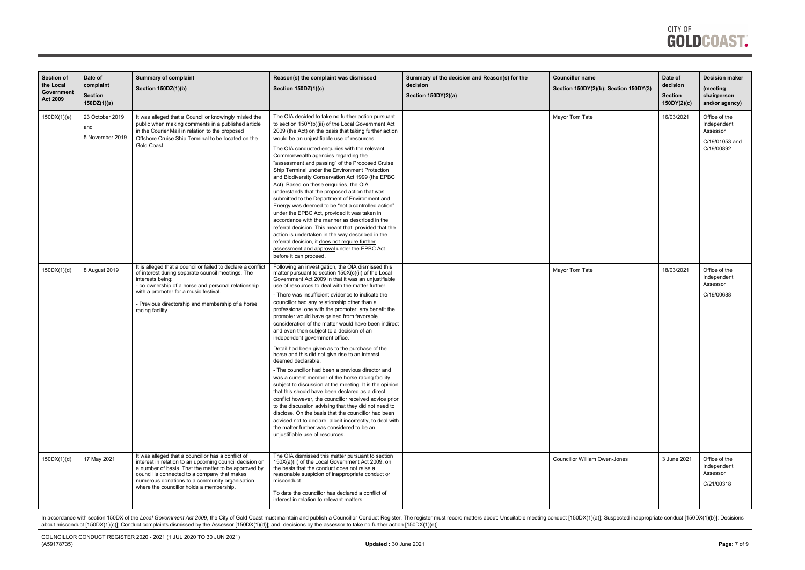| <b>Section of</b><br>the Local<br>Government<br><b>Act 2009</b> | Date of<br>complaint<br><b>Section</b><br>150DZ(1)(a) | <b>Summary of complaint</b><br>Section 150DZ(1)(b)                                                                                                                                                                                                                                                                  | Reason(s) the complaint was dismissed<br>Section 150DZ(1)(c)                                                                                                                                                                                                                                                                                                                                                                                                                                                                                                                                                                                                                                                                                                                                                                                                                                                                                                                                                                                                                                                                                                                                                                                    | Summary of the decision and Reason(s) for the<br>decision<br>Section 150DY(2)(a) | <b>Councillor name</b><br>Section 150DY(2)(b); Section 150DY(3) | Date of<br>decision<br><b>Section</b><br>150DY(2)(c) | <b>Decision maker</b><br>(meeting<br>chairperson<br>and/or agency)       |
|-----------------------------------------------------------------|-------------------------------------------------------|---------------------------------------------------------------------------------------------------------------------------------------------------------------------------------------------------------------------------------------------------------------------------------------------------------------------|-------------------------------------------------------------------------------------------------------------------------------------------------------------------------------------------------------------------------------------------------------------------------------------------------------------------------------------------------------------------------------------------------------------------------------------------------------------------------------------------------------------------------------------------------------------------------------------------------------------------------------------------------------------------------------------------------------------------------------------------------------------------------------------------------------------------------------------------------------------------------------------------------------------------------------------------------------------------------------------------------------------------------------------------------------------------------------------------------------------------------------------------------------------------------------------------------------------------------------------------------|----------------------------------------------------------------------------------|-----------------------------------------------------------------|------------------------------------------------------|--------------------------------------------------------------------------|
| 150DX(1)(e)                                                     | 23 October 2019<br>and<br>5 November 2019             | It was alleged that a Councillor knowingly misled the<br>public when making comments in a published article<br>in the Courier Mail in relation to the proposed<br>Offshore Cruise Ship Terminal to be located on the<br>Gold Coast.                                                                                 | The OIA decided to take no further action pursuant<br>to section 150Y(b)(iii) of the Local Government Act<br>2009 (the Act) on the basis that taking further action<br>would be an unjustifiable use of resources.<br>The OIA conducted enquiries with the relevant<br>Commonwealth agencies regarding the<br>"assessment and passing" of the Proposed Cruise<br>Ship Terminal under the Environment Protection<br>and Biodiversity Conservation Act 1999 (the EPBC<br>Act). Based on these enquiries, the OIA<br>understands that the proposed action that was<br>submitted to the Department of Environment and<br>Energy was deemed to be "not a controlled action"<br>under the EPBC Act, provided it was taken in<br>accordance with the manner as described in the<br>referral decision. This meant that, provided that the<br>action is undertaken in the way described in the<br>referral decision, it does not require further<br>assessment and approval under the EPBC Act<br>before it can proceed.                                                                                                                                                                                                                                 |                                                                                  | Mayor Tom Tate                                                  | 16/03/2021                                           | Office of the<br>Independent<br>Assessor<br>C/19/01053 and<br>C/19/00892 |
| 150DX(1)(d)                                                     | 8 August 2019                                         | It is alleged that a councillor failed to declare a conflict<br>of interest during separate council meetings. The<br>interests being:<br>- co ownership of a horse and personal relationship<br>with a promoter for a music festival.<br>- Previous directorship and membership of a horse<br>racing facility.      | Following an investigation, the OIA dismissed this<br>matter pursuant to section 150X(c)(ii) of the Local<br>Government Act 2009 in that it was an unjustifiable<br>use of resources to deal with the matter further.<br>- There was insufficient evidence to indicate the<br>councillor had any relationship other than a<br>professional one with the promoter, any benefit the<br>promoter would have gained from favorable<br>consideration of the matter would have been indirect<br>and even then subject to a decision of an<br>independent government office.<br>Detail had been given as to the purchase of the<br>horse and this did not give rise to an interest<br>deemed declarable.<br>- The councillor had been a previous director and<br>was a current member of the horse racing facility<br>subject to discussion at the meeting. It is the opinion<br>that this should have been declared as a direct<br>conflict however, the councillor received advice prior<br>to the discussion advising that they did not need to<br>disclose. On the basis that the councillor had been<br>advised not to declare, albeit incorrectly, to deal with<br>the matter further was considered to be an<br>unjustifiable use of resources. |                                                                                  | Mayor Tom Tate                                                  | 18/03/2021                                           | Office of the<br>Independent<br>Assessor<br>C/19/00688                   |
| 150DX(1)(d)                                                     | 17 May 2021                                           | It was alleged that a councillor has a conflict of<br>interest in relation to an upcoming council decision on<br>a number of basis. That the matter to be approved by<br>council is connected to a company that makes<br>numerous donations to a community organisation<br>where the councillor holds a membership. | The OIA dismissed this matter pursuant to section<br>150X(a)(ii) of the Local Government Act 2009, on<br>the basis that the conduct does not raise a<br>reasonable suspicion of inappropriate conduct or<br>misconduct.<br>To date the councillor has declared a conflict of<br>interest in relation to relevant matters.                                                                                                                                                                                                                                                                                                                                                                                                                                                                                                                                                                                                                                                                                                                                                                                                                                                                                                                       |                                                                                  | <b>Councillor William Owen-Jones</b>                            | 3 June 2021                                          | Office of the<br>Independent<br>Assessor<br>C/21/00318                   |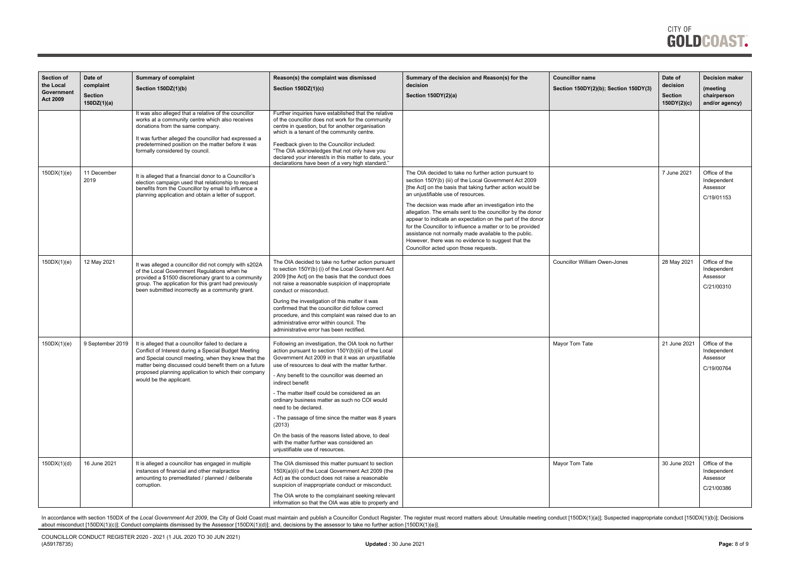

| Section of<br>the Local<br>Government<br><b>Act 2009</b> | Date of<br>complaint<br><b>Section</b><br>150DZ(1)(a) | <b>Summary of complaint</b><br>Section 150DZ(1)(b)                                                                                                                                                                                                                                                              | Reason(s) the complaint was dismissed<br><b>Section 150DZ(1)(c)</b>                                                                                                                                                                                                                                                                                                                                                                                                                                                                                                                                                         | Summary of the decision and Reason(s) for the<br>decision<br>Section 150DY(2)(a)                                                                                                                                                                                                                                                                                                                                                                                                                                                                                                                                               | <b>Councillor name</b><br>Section 150DY(2)(b); Section 150DY(3) | Date of<br>decision<br><b>Section</b><br>150DY(2)(c) | <b>Decision maker</b><br>(meeting<br>chairperson<br>and/or agency) |
|----------------------------------------------------------|-------------------------------------------------------|-----------------------------------------------------------------------------------------------------------------------------------------------------------------------------------------------------------------------------------------------------------------------------------------------------------------|-----------------------------------------------------------------------------------------------------------------------------------------------------------------------------------------------------------------------------------------------------------------------------------------------------------------------------------------------------------------------------------------------------------------------------------------------------------------------------------------------------------------------------------------------------------------------------------------------------------------------------|--------------------------------------------------------------------------------------------------------------------------------------------------------------------------------------------------------------------------------------------------------------------------------------------------------------------------------------------------------------------------------------------------------------------------------------------------------------------------------------------------------------------------------------------------------------------------------------------------------------------------------|-----------------------------------------------------------------|------------------------------------------------------|--------------------------------------------------------------------|
|                                                          |                                                       | It was also alleged that a relative of the councillor<br>works at a community centre which also receives<br>donations from the same company.<br>It was further alleged the councillor had expressed a<br>predetermined position on the matter before it was<br>formally considered by council.                  | Further inquiries have established that the relative<br>of the councillor does not work for the community<br>centre in question, but for another organisation<br>which is a tenant of the community centre.<br>Feedback given to the Councillor included:<br>"The OIA acknowledges that not only have you<br>declared your interest/s in this matter to date, your<br>declarations have been of a very high standard."                                                                                                                                                                                                      |                                                                                                                                                                                                                                                                                                                                                                                                                                                                                                                                                                                                                                |                                                                 |                                                      |                                                                    |
| 150DX(1)(e)                                              | 11 December<br>2019                                   | It is alleged that a financial donor to a Councillor's<br>election campaign used that relationship to request<br>benefits from the Councillor by email to influence a<br>planning application and obtain a letter of support.                                                                                   |                                                                                                                                                                                                                                                                                                                                                                                                                                                                                                                                                                                                                             | The OIA decided to take no further action pursuant to<br>section 150Y(b) (iii) of the Local Government Act 2009<br>[the Act] on the basis that taking further action would be<br>an unjustifiable use of resources.<br>The decision was made after an investigation into the<br>allegation. The emails sent to the councillor by the donor<br>appear to indicate an expectation on the part of the donor<br>for the Councillor to influence a matter or to be provided<br>assistance not normally made available to the public.<br>However, there was no evidence to suggest that the<br>Councillor acted upon those requests. |                                                                 | 7 June 2021                                          | Office of the<br>Independent<br>Assessor<br>C/19/01153             |
| 150DX(1)(e)                                              | 12 May 2021                                           | It was alleged a councillor did not comply with s202A<br>of the Local Government Regulations when he<br>provided a \$1500 discretionary grant to a community<br>group. The application for this grant had previously<br>been submitted incorrectly as a community grant.                                        | The OIA decided to take no further action pursuant<br>to section 150Y(b) (i) of the Local Government Act<br>2009 [the Act] on the basis that the conduct does<br>not raise a reasonable suspicion of inappropriate<br>conduct or misconduct.<br>During the investigation of this matter it was<br>confirmed that the councillor did follow correct<br>procedure, and this complaint was raised due to an<br>administrative error within council. The<br>administrative error has been rectified.                                                                                                                            |                                                                                                                                                                                                                                                                                                                                                                                                                                                                                                                                                                                                                                | <b>Councillor William Owen-Jones</b>                            | 28 May 2021                                          | Office of the<br>Independent<br>Assessor<br>C/21/00310             |
| 150DX(1)(e)                                              | 9 September 2019                                      | It is alleged that a councillor failed to declare a<br>Conflict of Interest during a Special Budget Meeting<br>and Special council meeting, when they knew that the<br>matter being discussed could benefit them on a future<br>proposed planning application to which their company<br>would be the applicant. | Following an investigation, the OIA took no further<br>action pursuant to section 150Y(b)(iii) of the Local<br>Government Act 2009 in that it was an unjustifiable<br>use of resources to deal with the matter further.<br>- Any benefit to the councillor was deemed an<br>indirect benefit<br>- The matter itself could be considered as an<br>ordinary business matter as such no COI would<br>need to be declared.<br>- The passage of time since the matter was 8 years<br>(2013)<br>On the basis of the reasons listed above, to deal<br>with the matter further was considered an<br>unjustifiable use of resources. |                                                                                                                                                                                                                                                                                                                                                                                                                                                                                                                                                                                                                                | Mayor Tom Tate                                                  | 21 June 2021                                         | Office of the<br>Independent<br>Assessor<br>C/19/00764             |
| 150DX(1)(d)                                              | 16 June 2021                                          | It is alleged a councillor has engaged in multiple<br>instances of financial and other malpractice<br>amounting to premeditated / planned / deliberate<br>corruption.                                                                                                                                           | The OIA dismissed this matter pursuant to section<br>150X(a)(ii) of the Local Government Act 2009 (the<br>Act) as the conduct does not raise a reasonable<br>suspicion of inappropriate conduct or misconduct.<br>The OIA wrote to the complainant seeking relevant<br>information so that the OIA was able to properly and                                                                                                                                                                                                                                                                                                 |                                                                                                                                                                                                                                                                                                                                                                                                                                                                                                                                                                                                                                | Mayor Tom Tate                                                  | 30 June 2021                                         | Office of the<br>Independent<br>Assessor<br>C/21/00386             |